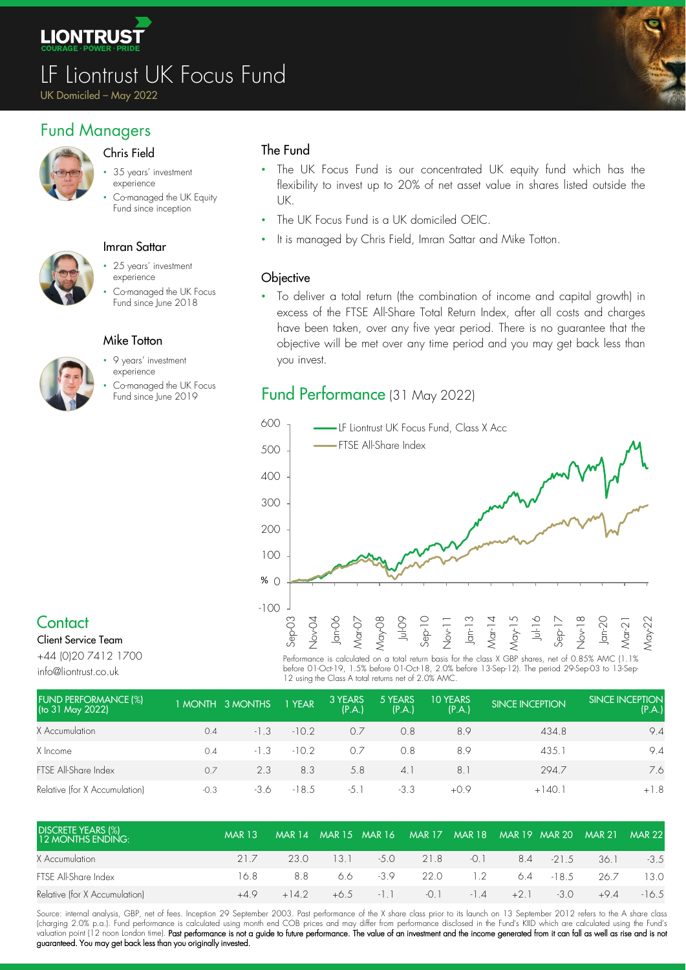

# LF Liontrust UK Focus Fund

UK Domiciled – May 2022

# Fund Managers



- Chris Field
- 35 years' investment experience
- Co-managed the UK Equity Fund since inception



### Imran Sattar

- 25 years' investment experience
- Co-managed the UK Focus Fund since June 2018



### Mike Totton

- 9 years' investment experience
- Co-managed the UK Focus

### The Fund

- The UK Focus Fund is our concentrated UK equity fund which has the flexibility to invest up to 20% of net asset value in shares listed outside the UK.
- The UK Focus Fund is a UK domiciled OEIC.
- It is managed by Chris Field, Imran Sattar and Mike Totton.

### **Objective**

• To deliver a total return (the combination of income and capital growth) in excess of the FTSE All-Share Total Return Index, after all costs and charges have been taken, over any five year period. There is no guarantee that the objective will be met over any time period and you may get back less than you invest.

# Co-managea me UK rocus<br>Fund **Performance** (31 May 2022)



# **Contact**

Client Service Team +44 (0)20 7412 1700

info@liontrust.co.uk

Performance is calculated on a total return basis for the class X GBP shares, net of 0.85% AMC (1.1% before 01-Oct-19, 1.5% before 01-Oct-18, 2.0% before 13-Sep-12). The period 29-Sep-03 to 13-Sep-12 using the Class A total returns net of 2.0% AMC.

| <b>FUND PERFORMANCE (%)</b><br>(to 31 May 2022) |        | 1 MONTH 3 MONTHS | 1 YEAR  | 3 YEARS<br>(P.A.) | 5 YEARS<br>(P.A.) | <b>10 YEARS</b><br>(P.A.) | <b>SINCE INCEPTION</b> | <b>ISINCE INCEPTION</b><br>(P.A.) |
|-------------------------------------------------|--------|------------------|---------|-------------------|-------------------|---------------------------|------------------------|-----------------------------------|
| X Accumulation                                  | 0.4    | $-1.3$           | $-10.2$ | 0.7               | 0.8               | 8.9                       | 434.8                  | 9.4                               |
| X Income                                        | 0.4    | $-1.3$           | $-10.2$ | 0.7               | 0.8               | 8.9                       | 435.1                  | 9.4                               |
| FTSE All-Share Index                            | 0.7    | 2.3              | 8.3     | 5.8               | 4.1               | $8^{\circ}$               | 294.7                  | 7.6                               |
| Relative (for X Accumulation)                   | $-0.3$ | -3.6             | $-18.5$ | $-5.1$            | $-3.3$            | $+0.9$                    | $+140.1$               | $+1.8$                            |

| <b>DISCRETE YEARS (%)</b><br>12 MONTHS ENDING: | <b>MAR 13</b> |         |                                             | IMAR 14 MAR 15 MAR 16 | MAR 17 MAR 18 MAR 19 MAR 20 MAR 21 MAR 22 |             |              |        |         |
|------------------------------------------------|---------------|---------|---------------------------------------------|-----------------------|-------------------------------------------|-------------|--------------|--------|---------|
| X Accumulation                                 | 217           | 23 O    | $\begin{array}{ccc} \hline \end{array}$ 3.1 |                       | $-5.0$ 21.8 $-0.1$ 8.4 $-21.5$            |             |              | - 36.1 | $-3.5$  |
| FTSE All-Share Index                           | 16.8.         | 88      |                                             |                       | $6.6 \t -3.9 \t 22.0 \t 1.2$              |             | $6.4 - 18.5$ | 26.7   | 13.0    |
| Relative (for X Accumulation)                  | +49           | $+14.2$ |                                             | $+6.5 -1.1 -0.1$      |                                           | $-1.4 +2.1$ | $-3.0$       | $+9.4$ | $-16.5$ |

Source: internal analysis, GBP, net of fees. Inception 29 September 2003. Past performance of the X share class prior to its launch on 13 September 2012 refers to the A share class (charging 2.0% p.a.). Fund performance is calculated using month end COB prices and may differ from performance disclosed in the Fund's KIID which are calculated using the Fund's valuation point (12 noon London time). **Past performance is not a guide to future performance. The value of an investment and the income generated from it can fall as well as rise and is no** guaranteed. You may get back less than you originally invested.